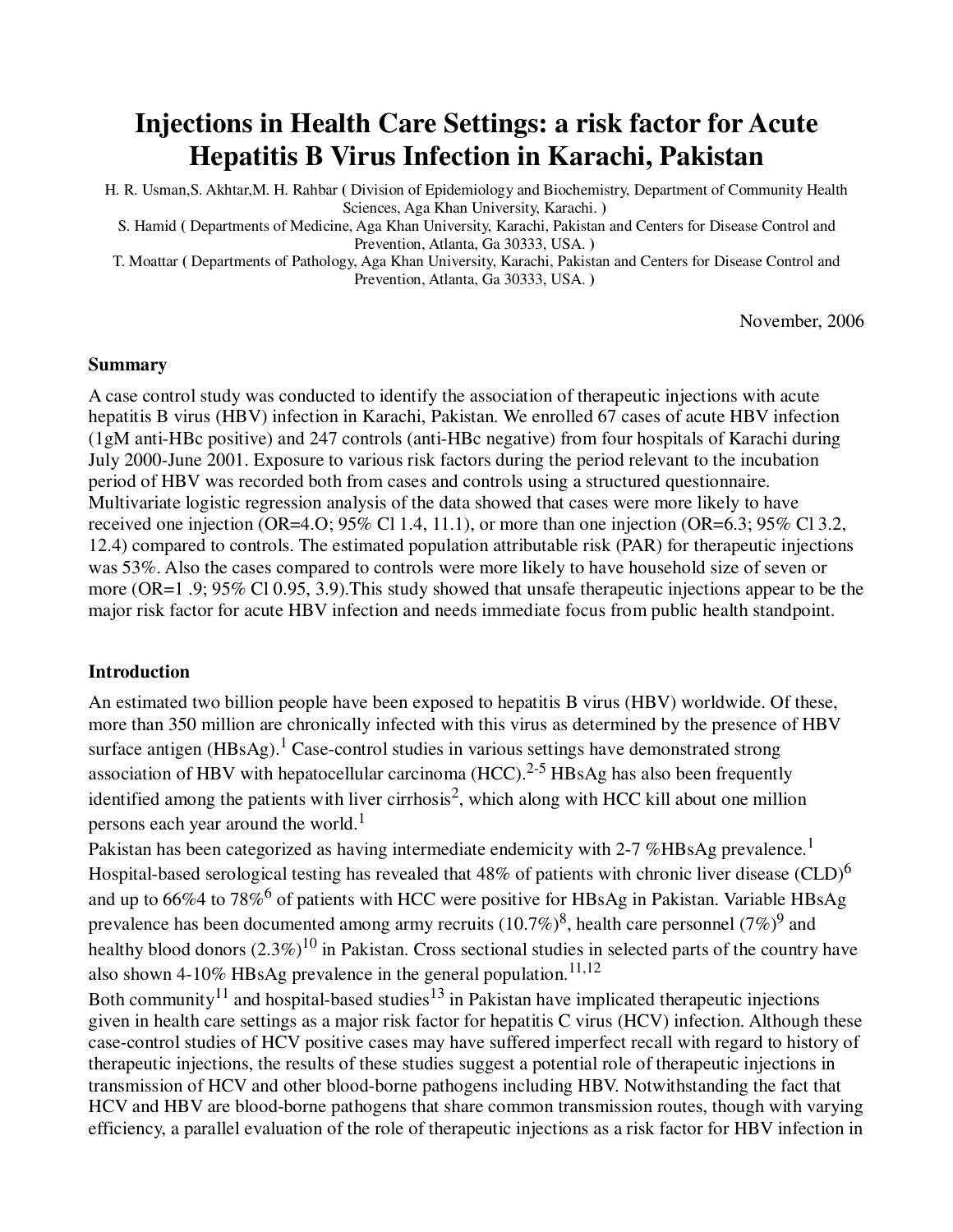# **Injections in Health Care Settings: a risk factor for Acute Hepatitis B Virus Infection in Karachi, Pakistan**

H. R. Usman,S. Akhtar,M. H. Rahbar **(** Division of Epidemiology and Biochemistry, Department of Community Health Sciences, Aga Khan University, Karachi. **)** 

S. Hamid **(** Departments of Medicine, Aga Khan University, Karachi, Pakistan and Centers for Disease Control and Prevention, Atlanta, Ga 30333, USA. **)** 

T. Moattar **(** Departments of Pathology, Aga Khan University, Karachi, Pakistan and Centers for Disease Control and Prevention, Atlanta, Ga 30333, USA. **)** 

November, 2006

#### **Summary**

A case control study was conducted to identify the association of therapeutic injections with acute hepatitis B virus (HBV) infection in Karachi, Pakistan. We enrolled 67 cases of acute HBV infection (1gM anti-HBc positive) and 247 controls (anti-HBc negative) from four hospitals of Karachi during July 2000-June 2001. Exposure to various risk factors during the period relevant to the incubation period of HBV was recorded both from cases and controls using a structured questionnaire. Multivariate logistic regression analysis of the data showed that cases were more likely to have received one injection (OR=4.O;  $95\%$  Cl 1.4, 11.1), or more than one injection (OR=6.3;  $95\%$  Cl 3.2, 12.4) compared to controls. The estimated population attributable risk (PAR) for therapeutic injections was 53%. Also the cases compared to controls were more likely to have household size of seven or more (OR=1 .9; 95% Cl 0.95, 3.9).This study showed that unsafe therapeutic injections appear to be the major risk factor for acute HBV infection and needs immediate focus from public health standpoint.

#### **Introduction**

An estimated two billion people have been exposed to hepatitis B virus (HBV) worldwide. Of these, more than 350 million are chronically infected with this virus as determined by the presence of HBV surface antigen (HBsAg).<sup>1</sup> Case-control studies in various settings have demonstrated strong association of HBV with hepatocellular carcinoma  $(HCC)$ .<sup>2-5</sup> HBsAg has also been frequently identified among the patients with liver cirrhosis<sup>2</sup>, which along with HCC kill about one million persons each year around the world.<sup>1</sup>

Pakistan has been categorized as having intermediate endemicity with 2-7 %HBsAg prevalence.<sup>1</sup> Hospital-based serological testing has revealed that  $48\%$  of patients with chronic liver disease (CLD)<sup>6</sup> and up to 66%4 to 78%<sup>6</sup> of patients with HCC were positive for HBsAg in Pakistan. Variable HBsAg prevalence has been documented among army recruits (10.7%)<sup>8</sup>, health care personnel (7%)<sup>9</sup> and healthy blood donors  $(2.3\%)^{10}$  in Pakistan. Cross sectional studies in selected parts of the country have also shown 4-10% HBsAg prevalence in the general population.<sup>11,12</sup>

Both community<sup>11</sup> and hospital-based studies<sup>13</sup> in Pakistan have implicated therapeutic injections given in health care settings as a major risk factor for hepatitis C virus (HCV) infection. Although these case-control studies of HCV positive cases may have suffered imperfect recall with regard to history of therapeutic injections, the results of these studies suggest a potential role of therapeutic injections in transmission of HCV and other blood-borne pathogens including HBV. Notwithstanding the fact that HCV and HBV are blood-borne pathogens that share common transmission routes, though with varying efficiency, a parallel evaluation of the role of therapeutic injections as a risk factor for HBV infection in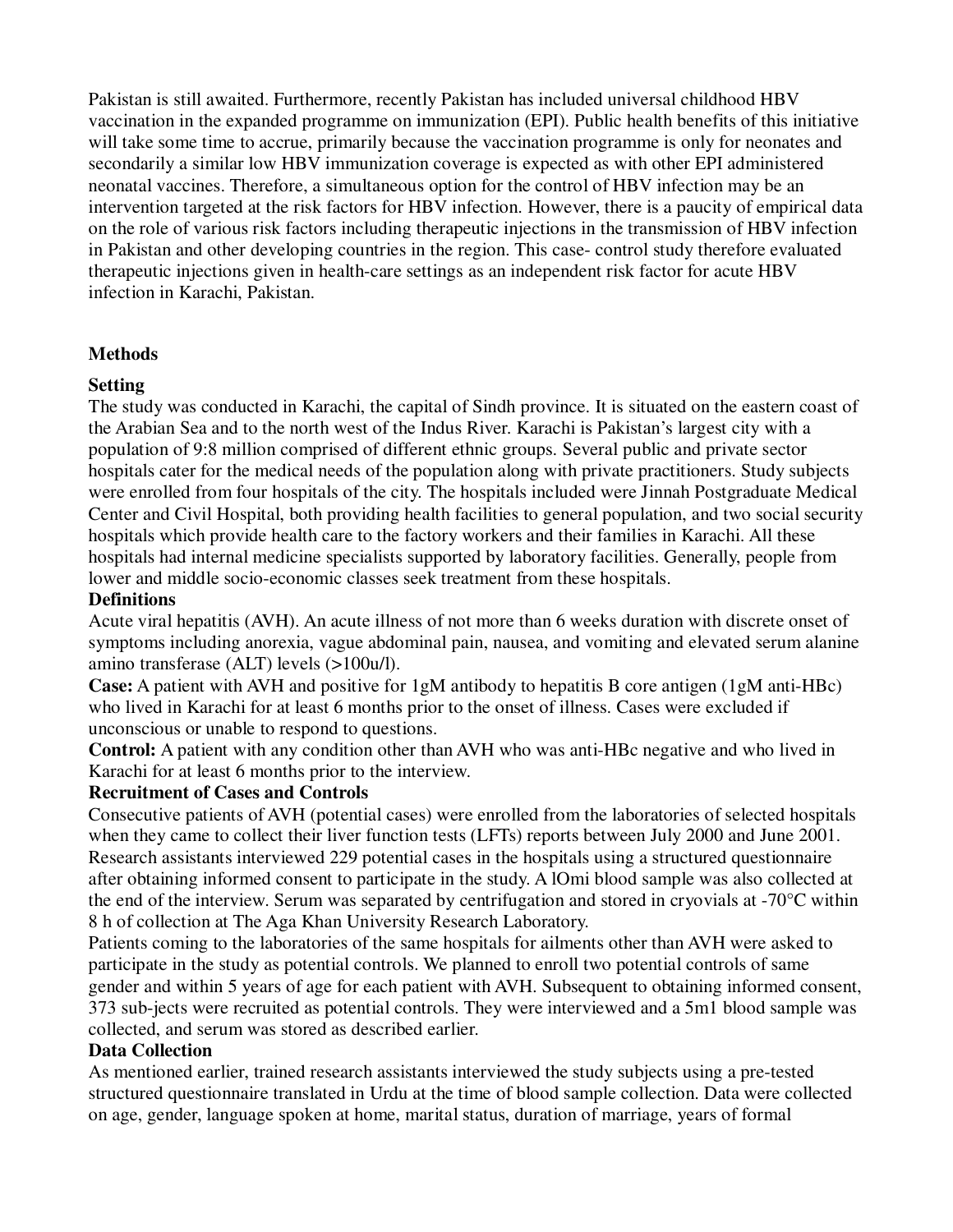Pakistan is still awaited. Furthermore, recently Pakistan has included universal childhood HBV vaccination in the expanded programme on immunization (EPI). Public health benefits of this initiative will take some time to accrue, primarily because the vaccination programme is only for neonates and secondarily a similar low HBV immunization coverage is expected as with other EPI administered neonatal vaccines. Therefore, a simultaneous option for the control of HBV infection may be an intervention targeted at the risk factors for HBV infection. However, there is a paucity of empirical data on the role of various risk factors including therapeutic injections in the transmission of HBV infection in Pakistan and other developing countries in the region. This case- control study therefore evaluated therapeutic injections given in health-care settings as an independent risk factor for acute HBV infection in Karachi, Pakistan.

## **Methods**

## **Setting**

The study was conducted in Karachi, the capital of Sindh province. It is situated on the eastern coast of the Arabian Sea and to the north west of the Indus River. Karachi is Pakistan's largest city with a population of 9:8 million comprised of different ethnic groups. Several public and private sector hospitals cater for the medical needs of the population along with private practitioners. Study subjects were enrolled from four hospitals of the city. The hospitals included were Jinnah Postgraduate Medical Center and Civil Hospital, both providing health facilities to general population, and two social security hospitals which provide health care to the factory workers and their families in Karachi. All these hospitals had internal medicine specialists supported by laboratory facilities. Generally, people from lower and middle socio-economic classes seek treatment from these hospitals.

## **Definitions**

Acute viral hepatitis (AVH). An acute illness of not more than 6 weeks duration with discrete onset of symptoms including anorexia, vague abdominal pain, nausea, and vomiting and elevated serum alanine amino transferase (ALT) levels (>100u/l).

**Case:** A patient with AVH and positive for 1gM antibody to hepatitis B core antigen (1gM anti-HBc) who lived in Karachi for at least 6 months prior to the onset of illness. Cases were excluded if unconscious or unable to respond to questions.

**Control:** A patient with any condition other than AVH who was anti-HBc negative and who lived in Karachi for at least 6 months prior to the interview.

## **Recruitment of Cases and Controls**

Consecutive patients of AVH (potential cases) were enrolled from the laboratories of selected hospitals when they came to collect their liver function tests (LFTs) reports between July 2000 and June 2001. Research assistants interviewed 229 potential cases in the hospitals using a structured questionnaire after obtaining informed consent to participate in the study. A lOmi blood sample was also collected at the end of the interview. Serum was separated by centrifugation and stored in cryovials at -70°C within 8 h of collection at The Aga Khan University Research Laboratory.

Patients coming to the laboratories of the same hospitals for ailments other than AVH were asked to participate in the study as potential controls. We planned to enroll two potential controls of same gender and within 5 years of age for each patient with AVH. Subsequent to obtaining informed consent, 373 sub-jects were recruited as potential controls. They were interviewed and a 5m1 blood sample was collected, and serum was stored as described earlier.

## **Data Collection**

As mentioned earlier, trained research assistants interviewed the study subjects using a pre-tested structured questionnaire translated in Urdu at the time of blood sample collection. Data were collected on age, gender, language spoken at home, marital status, duration of marriage, years of formal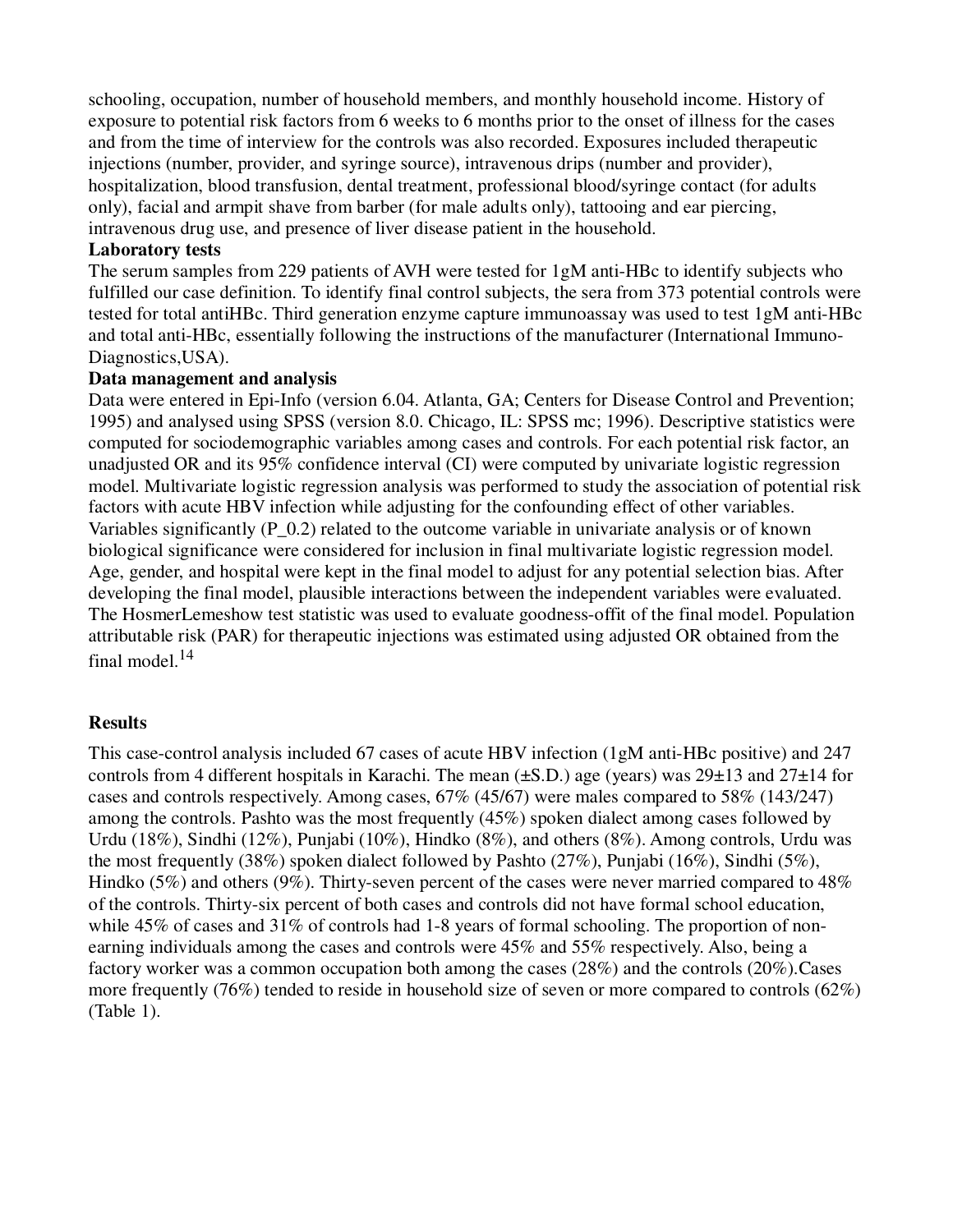schooling, occupation, number of household members, and monthly household income. History of exposure to potential risk factors from 6 weeks to 6 months prior to the onset of illness for the cases and from the time of interview for the controls was also recorded. Exposures included therapeutic injections (number, provider, and syringe source), intravenous drips (number and provider), hospitalization, blood transfusion, dental treatment, professional blood/syringe contact (for adults only), facial and armpit shave from barber (for male adults only), tattooing and ear piercing, intravenous drug use, and presence of liver disease patient in the household.

#### **Laboratory tests**

The serum samples from 229 patients of AVH were tested for 1gM anti-HBc to identify subjects who fulfilled our case definition. To identify final control subjects, the sera from 373 potential controls were tested for total antiHBc. Third generation enzyme capture immunoassay was used to test 1gM anti-HBc and total anti-HBc, essentially following the instructions of the manufacturer (International Immuno-Diagnostics,USA).

#### **Data management and analysis**

Data were entered in Epi-Info (version 6.04. Atlanta, GA; Centers for Disease Control and Prevention; 1995) and analysed using SPSS (version 8.0. Chicago, IL: SPSS mc; 1996). Descriptive statistics were computed for sociodemographic variables among cases and controls. For each potential risk factor, an unadjusted OR and its 95% confidence interval (CI) were computed by univariate logistic regression model. Multivariate logistic regression analysis was performed to study the association of potential risk factors with acute HBV infection while adjusting for the confounding effect of other variables. Variables significantly (P\_0.2) related to the outcome variable in univariate analysis or of known biological significance were considered for inclusion in final multivariate logistic regression model. Age, gender, and hospital were kept in the final model to adjust for any potential selection bias. After developing the final model, plausible interactions between the independent variables were evaluated. The HosmerLemeshow test statistic was used to evaluate goodness-offit of the final model. Population attributable risk (PAR) for therapeutic injections was estimated using adjusted OR obtained from the final model. $14$ 

#### **Results**

This case-control analysis included 67 cases of acute HBV infection (1gM anti-HBc positive) and 247 controls from 4 different hospitals in Karachi. The mean  $(\pm S.D.)$  age (years) was  $29\pm 13$  and  $27\pm 14$  for cases and controls respectively. Among cases, 67% (45/67) were males compared to 58% (143/247) among the controls. Pashto was the most frequently (45%) spoken dialect among cases followed by Urdu (18%), Sindhi (12%), Punjabi (10%), Hindko (8%), and others (8%). Among controls, Urdu was the most frequently (38%) spoken dialect followed by Pashto (27%), Punjabi (16%), Sindhi (5%), Hindko (5%) and others (9%). Thirty-seven percent of the cases were never married compared to 48% of the controls. Thirty-six percent of both cases and controls did not have formal school education, while 45% of cases and 31% of controls had 1-8 years of formal schooling. The proportion of nonearning individuals among the cases and controls were 45% and 55% respectively. Also, being a factory worker was a common occupation both among the cases (28%) and the controls (20%).Cases more frequently (76%) tended to reside in household size of seven or more compared to controls (62%) (Table 1).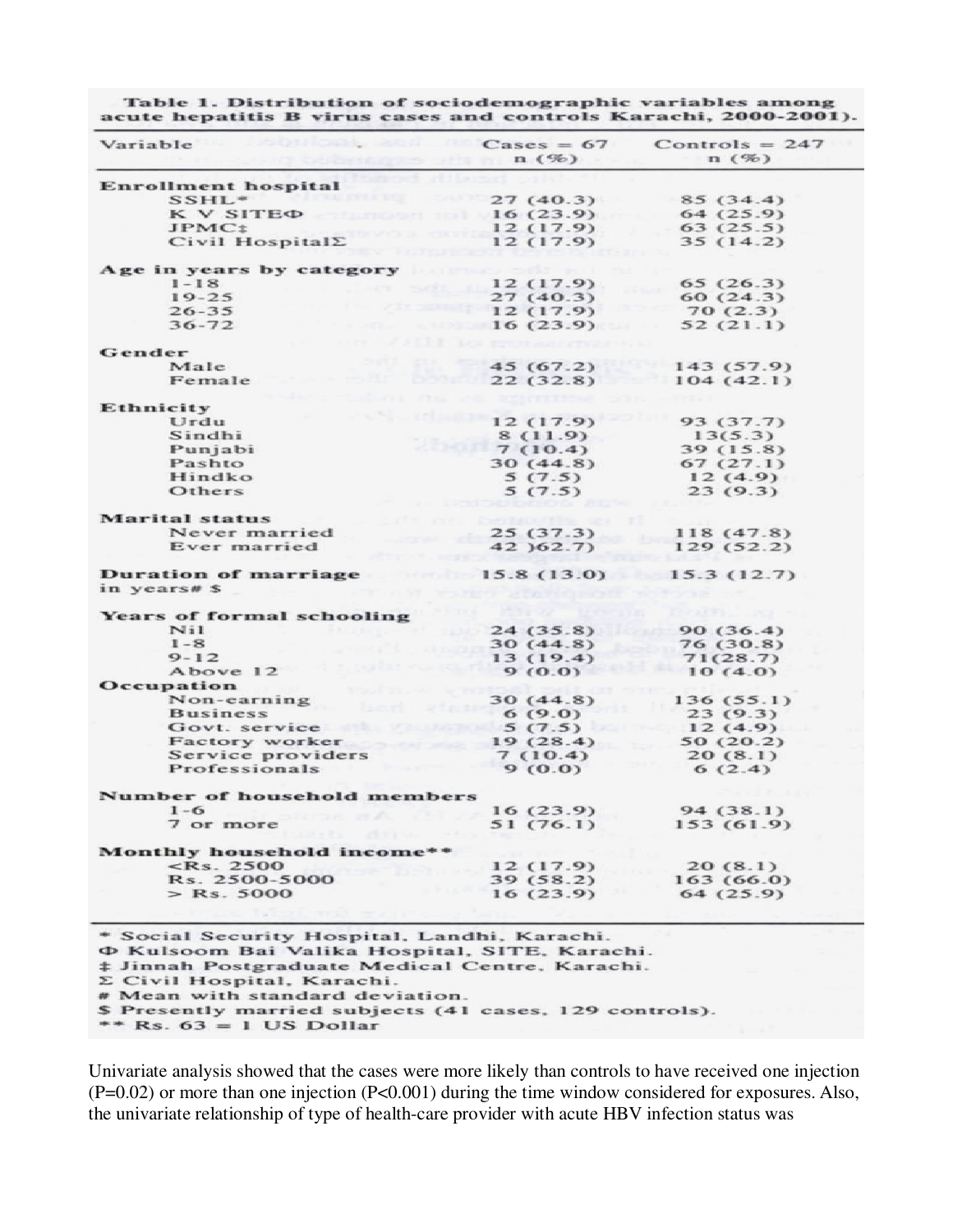| Variable                                     | $\text{Case} = 67$<br>n(%) | $Controls = 247$<br>n(%) |
|----------------------------------------------|----------------------------|--------------------------|
| <b>Enrollment hospital</b>                   |                            |                          |
| $SSHL$ *                                     | 27 (40.3)                  | 85(34.4)                 |
| K V SITE <sub><math>\Phi</math></sub>        | 16(23.9)                   | 64(25.9)                 |
| JPMC <sub>2</sub>                            | 12 (17.9)                  | 63(25.5)                 |
| Civil Hospital $\Sigma$                      | 12 (17.9)                  | 35(14.2)                 |
| Age in years by category                     |                            |                          |
| $1 - 18$                                     | 12 (17.9)                  | 65(26.3)                 |
| $19 - 25$                                    | 27 (40.3)                  | 60(24.3)                 |
| $26 - 35$                                    | 12(17.9)                   | 70(2.3)                  |
| $36 - 72$                                    | 16(23.9)                   | 52(21.1)                 |
| Gender                                       |                            |                          |
| Male                                         | 45 (67.2)                  | 143 (57.9)               |
| Female                                       | 22(32.8)                   | 104(42.1)                |
| Ethnicity                                    |                            |                          |
| Urdu                                         | 12 (17.9)                  | 93 (37.7)                |
| Sindhi                                       | 8 (11.9)                   | 13(5.3)                  |
| Punjabi                                      | 7(10.4)                    | 39 (15.8)                |
| Pashto                                       | 30 (44.8)                  | 67(27.1)                 |
| Hindko                                       | 5(7.5)                     | 12(4.9)                  |
| Others                                       | 5(7.5)                     | 23(9.3)                  |
| <b>Marital</b> status                        |                            |                          |
| Never married                                | 25(37.3)                   | 118 (47.8)               |
| Ever married                                 | 42 (62.7)                  | 129 (52.2)               |
| <b>Duration of marriage</b><br>in years# \$  | 15.8 (13.0)                | 15.3 (12.7)              |
| Years of formal schooling                    |                            |                          |
| Nii                                          | 24(35.8)                   | 90(36.4)                 |
| $1 - 8$                                      | 30(44.8)                   | 76 (30.8)                |
| $9 - 12$                                     | 13 (19.4)                  | 71(28.7)                 |
| Above 12                                     | 9(0.0)                     | 10(4.0)                  |
| Occupation                                   |                            |                          |
| Non-earning                                  | 30(44.8)                   | 136 (55.1)               |
| <b>Business</b>                              | 6(9.0)                     | 23(9.3)                  |
| Govt. service                                | 5(7.5)                     | 12(4.9)                  |
| Factory worker                               | 19(28.4)                   | 50(20.2)                 |
| Service providers                            | 7(10.4)                    | 20(8.1)                  |
| Professionals                                | 9(0.0)                     | 6(2.4)                   |
| Number of household members                  |                            |                          |
| $1 - 6$                                      | 16(23.9)                   | 94 (38.1)                |
| 7 or more                                    | 51 (76.1)                  | 153 (61.9)               |
| Monthly household income**                   |                            |                          |
| $<$ Rs. 2500                                 | 12(17.9)                   | 20(8.1)                  |
| Rs. 2500-5000                                | 39(58.2)                   | 163 (66.0)               |
| $>$ Rs. 5000                                 | 16(23.9)                   | 64 (25.9)                |
| * Social Security Hospital, Landhi, Karachi, |                            |                          |

Table 1. Distribution of sociodemographic variables among acute hepatitis B virus cases and controls Karachi, 2000-2001).

Φ Kulsoom Bai Valika Hospital, SITE, Karachi.

# Jinnah Postgraduate Medical Centre, Karachi.

Σ Civil Hospital, Karachi.

# Mean with standard deviation.

\$ Presently married subjects (41 cases, 129 controls).

\*\* Rs.  $63 = 1$  US Dollar

Univariate analysis showed that the cases were more likely than controls to have received one injection  $(P=0.02)$  or more than one injection  $(P<0.001)$  during the time window considered for exposures. Also, the univariate relationship of type of health-care provider with acute HBV infection status was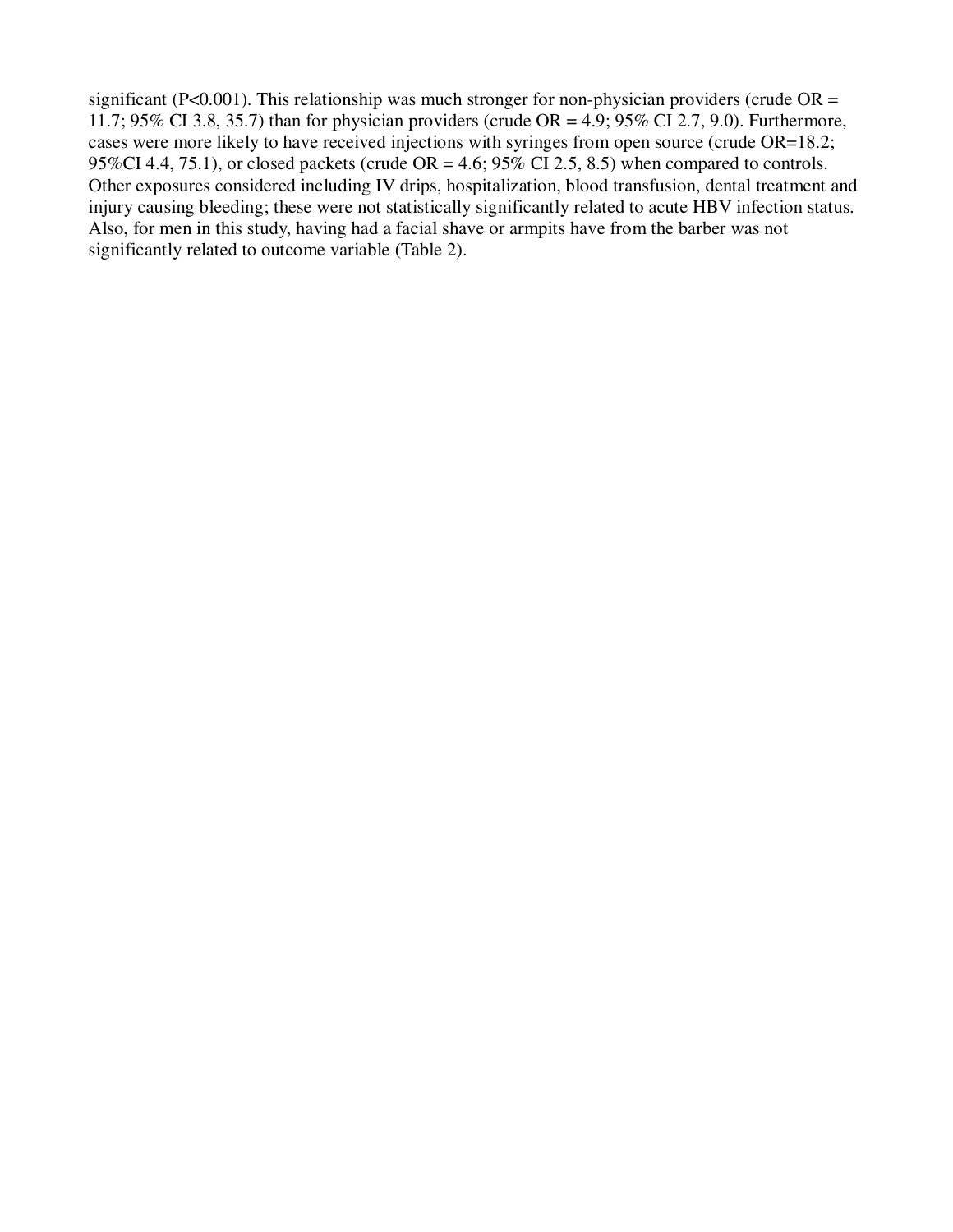significant (P<0.001). This relationship was much stronger for non-physician providers (crude  $OR =$ 11.7; 95% CI 3.8, 35.7) than for physician providers (crude OR = 4.9; 95% CI 2.7, 9.0). Furthermore, cases were more likely to have received injections with syringes from open source (crude OR=18.2; 95%CI 4.4, 75.1), or closed packets (crude  $OR = 4.6$ ; 95% CI 2.5, 8.5) when compared to controls. Other exposures considered including IV drips, hospitalization, blood transfusion, dental treatment and injury causing bleeding; these were not statistically significantly related to acute HBV infection status. Also, for men in this study, having had a facial shave or armpits have from the barber was not significantly related to outcome variable (Table 2).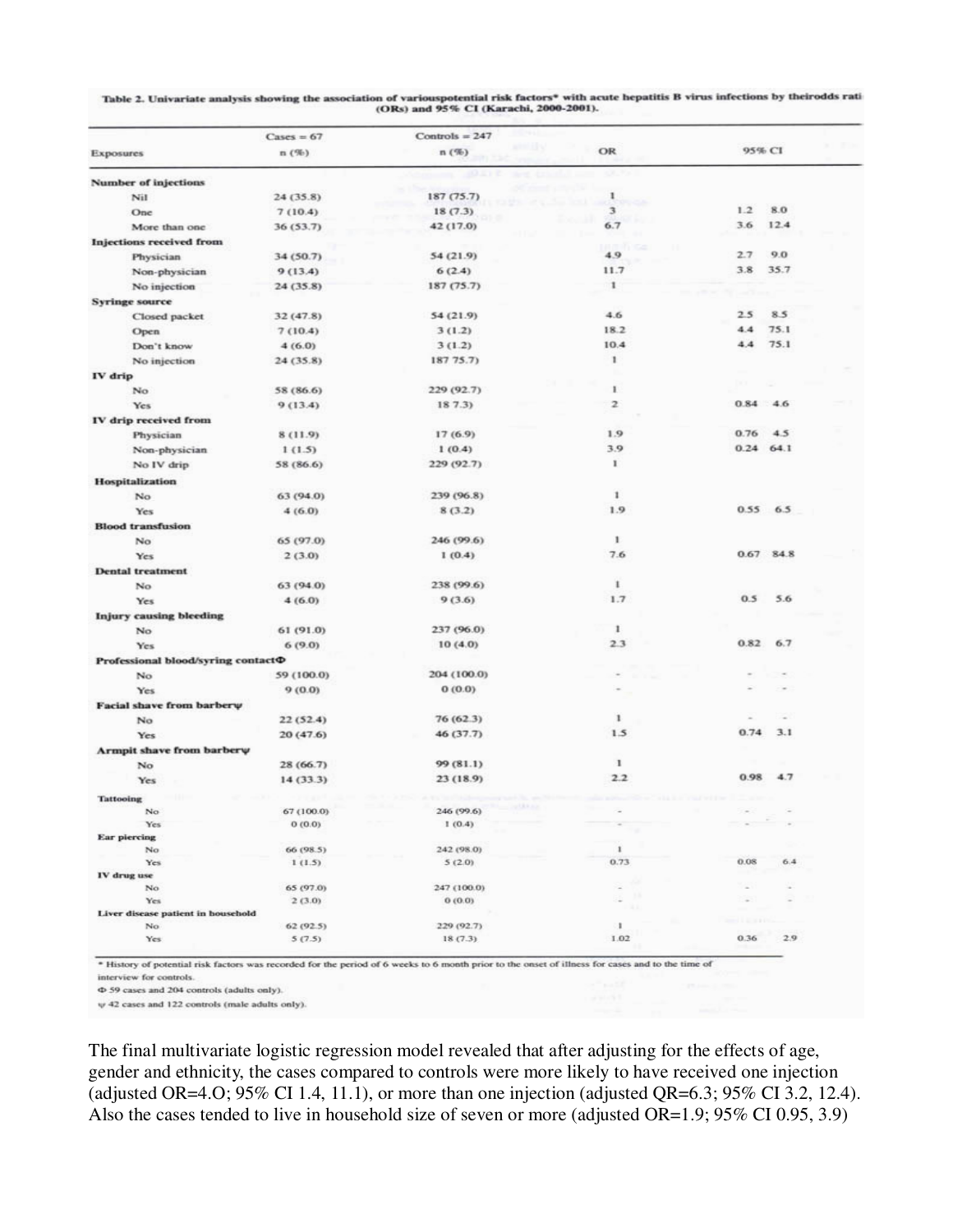| Table 2. Univariate analysis showing the association of variouspotential risk factors* with acute hepatitis B virus infections by theirodds rati |  |
|--------------------------------------------------------------------------------------------------------------------------------------------------|--|
| (ORs) and 95% CI (Karachi, 2000-2001).                                                                                                           |  |

|                                          | $\text{Cases} = 67$ | Controls = $247$ |               |                                           |
|------------------------------------------|---------------------|------------------|---------------|-------------------------------------------|
| <b>Exposures</b>                         | n(%)                | n(%)             | OR            | 95% CI                                    |
| <b>Number of injections</b>              |                     |                  |               |                                           |
| Nil                                      | 24 (35.8)           | 187 (75.7)       | 1             |                                           |
| One                                      | 7(10.4)             | 18(7.3)          | 3             | 1.2<br>8.0                                |
| More than one                            | 36 (53.7)           | 42 (17.0)        | 6.7           | 3.6<br>12.4                               |
| <b>Injections received from</b>          |                     |                  |               |                                           |
| Physician                                | 34 (50.7)           | 54 (21.9)        | 4.9           | 2.7<br>9.0                                |
| Non-physician                            | 9(13.4)             | 6(2.4)           | 11.7          | 3.8<br>35.7                               |
| No injection                             | 24(35.8)            | 187 (75.7)       | 1             |                                           |
| <b>Syringe source</b>                    |                     |                  |               |                                           |
| Closed packet                            | 32 (47.8)           | 54 (21.9)        | 4.6           | 2.5<br>8.5                                |
| Open                                     | 7(10.4)             | 3(1.2)           | 18.2          | 75.1<br>4.4                               |
| Don't know                               | 4(6.0)              | 3(1.2)           | 10.4          | 75.1<br>4.4                               |
| No injection                             | 24(35.8)            | 187 75.7)        | ۱.            |                                           |
| IV drip                                  |                     |                  |               |                                           |
| No                                       | 58 (86.6)           | 229 (92.7)       | r             |                                           |
| <b>Yes</b>                               | 9(13.4)             | 187.3            | $\mathfrak z$ | 0.84 4.6                                  |
| IV drip received from                    |                     |                  |               |                                           |
| Physician                                | 8 (11.9)            | 17 (6.9)         | 1.9           | 0.76<br>4.5                               |
| Non-physician                            | 1(1.5)              | 1(0.4)           | 3.9           | $0.24$ 64.1                               |
| No IV drip                               | 58 (86.6)           | 229 (92.7)       | 1             |                                           |
| <b>Hospitalization</b>                   |                     |                  |               |                                           |
| No                                       | 63 (94.0)           | 239 (96.8)       | 1             |                                           |
| Yes                                      | 4(6.0)              | 8(3.2)           | 1.9           | 0.55 6.5                                  |
| <b>Blood transfusion</b>                 |                     |                  |               |                                           |
| No                                       | 65 (97.0)           | 246 (99.6)       | 1.            |                                           |
| Yes                                      | 2(3.0)              | 1(0.4)           | 7.6           | 0.67 84.8                                 |
| <b>Dental treatment</b>                  |                     |                  |               |                                           |
| No                                       | 63 (94.0)           | 238 (99.6)       | 1             |                                           |
| Yes                                      | 4(6.0)              | 9(3.6)           | 1.7           | 0.5<br>5.6                                |
| <b>Injury causing bleeding</b>           |                     |                  |               |                                           |
| No                                       | 61 (91.0)           | 237 (96.0)       | 1             |                                           |
| Yes                                      | 6(9.0)              | 10(4.0)          | 23            | 0.82<br>6.7                               |
| Professional blood/syring contact $\Phi$ |                     |                  |               |                                           |
| No                                       | 59 (100.0)          | 204 (100.0)      |               |                                           |
| Yes                                      | 9(0.0)              | 0(0.0)           |               |                                           |
| Facial shave from barberw                |                     |                  |               |                                           |
| No                                       | 22(52.4)            | 76(62.3)         | $\mathbf{1}$  |                                           |
| <b>Yes</b>                               | 20(47.6)            | 46 (37.7)        | 1.5           | 0.74<br>3.1                               |
| Armpit shave from barberw                |                     |                  |               |                                           |
| No                                       | 28 (66.7)           | 99 (81.1)        | 1             |                                           |
| Yes                                      | 14 (33.3)           | 23 (18.9)        | 2.2           | 0.98<br>4.7                               |
| <b>Tattooing</b>                         |                     |                  |               |                                           |
| No                                       | 67 (100.0)          | 246 (99.6)       |               |                                           |
| Yes                                      | 0(0.0)              | 1(0.4)           | $\sim$        | $\sigma$                                  |
| <b>Ear piercing</b>                      |                     |                  |               |                                           |
| No                                       | 66 (98.5)           | 242 (98.0)       | $\mathbf{1}$  |                                           |
| Yes<br>IV drug use                       | 1(1.5)              | 5(2.0)           | 0.73          | 0.08<br>6.4                               |
| No                                       | 65 (97.0)           | 247 (100.0)      |               |                                           |
| Yes                                      | 2(3.0)              | 0(0.0)           |               |                                           |
| Liver disease patient in household       |                     |                  |               |                                           |
| No.                                      | 62(92.5)            | 229 (92.7)       | ã.            | <b><i><u><b>Product Lines</b></u></i></b> |
| Yes                                      | 5(7.5)              | 18(7.3)          | 1.02          | 0.36<br>2.9                               |

\* History of potential risk factors was recorded for the period of 6 weeks to 6 month prior to the onset of illness for cases and to the time of

interview for controls.

Φ 59 cases and 204 controls (adults only).

 $\uppsi$  42 cases and 122 controls (male adults only).

The final multivariate logistic regression model revealed that after adjusting for the effects of age, gender and ethnicity, the cases compared to controls were more likely to have received one injection (adjusted OR=4.0; 95% CI 1.4, 11.1), or more than one injection (adjusted QR=6.3; 95% CI 3.2, 12.4). Also the cases tended to live in household size of seven or more (adjusted OR=1.9; 95% CI 0.95, 3.9)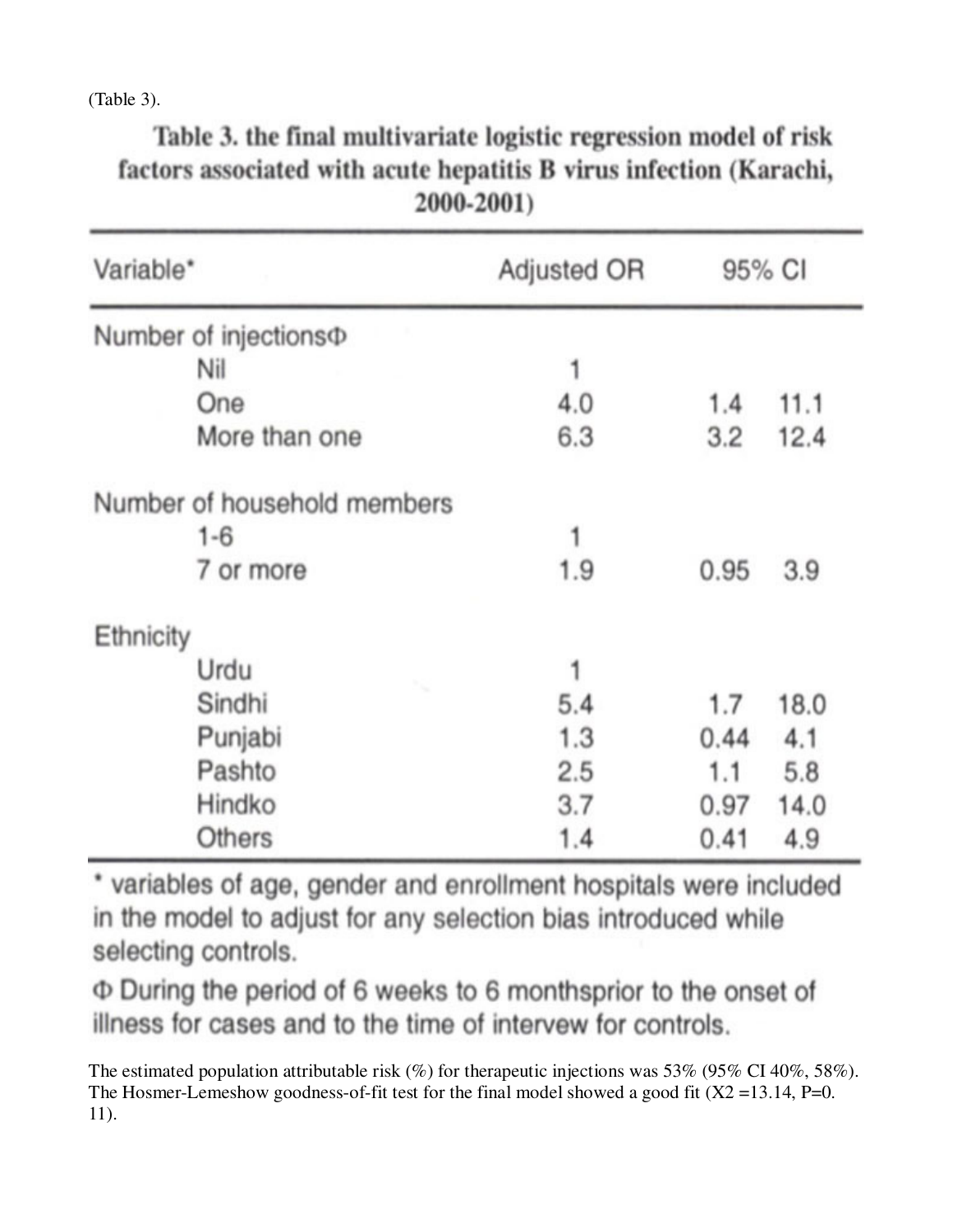(Table 3).

| 2000-2001)                  |             |        |      |  |  |  |
|-----------------------------|-------------|--------|------|--|--|--|
| Variable*                   | Adjusted OR | 95% CI |      |  |  |  |
| Number of injections $\Phi$ |             |        |      |  |  |  |
| Nil                         |             |        |      |  |  |  |
| One                         | 4.0         | 1.4    | 11.1 |  |  |  |
| More than one               | 6.3         | 3.2    | 12.4 |  |  |  |
| Number of household members |             |        |      |  |  |  |
| $1 - 6$                     | 1           |        |      |  |  |  |
| 7 or more                   | 1.9         | 0.95   | 3.9  |  |  |  |
| Ethnicity                   |             |        |      |  |  |  |
| Urdu                        |             |        |      |  |  |  |
| Sindhi                      | 5.4         | 1.7    | 18.0 |  |  |  |
| Punjabi                     | 1.3         | 0.44   | 4.1  |  |  |  |
| Pashto                      | 2.5         | 1.1    | 5.8  |  |  |  |
| Hindko                      | 3.7         | 0.97   | 14.0 |  |  |  |
| Others                      | 1.4         | 0.41   | 4.9  |  |  |  |

Table 3. the final multivariate logistic regression model of risk factors associated with acute hepatitis B virus infection (Karachi,

\* variables of age, gender and enrollment hospitals were included in the model to adjust for any selection bias introduced while selecting controls.

Φ During the period of 6 weeks to 6 monthsprior to the onset of illness for cases and to the time of intervew for controls.

The estimated population attributable risk (%) for therapeutic injections was 53% (95% CI 40%, 58%). The Hosmer-Lemeshow goodness-of-fit test for the final model showed a good fit  $(X2 = 13.14, P=0$ . 11).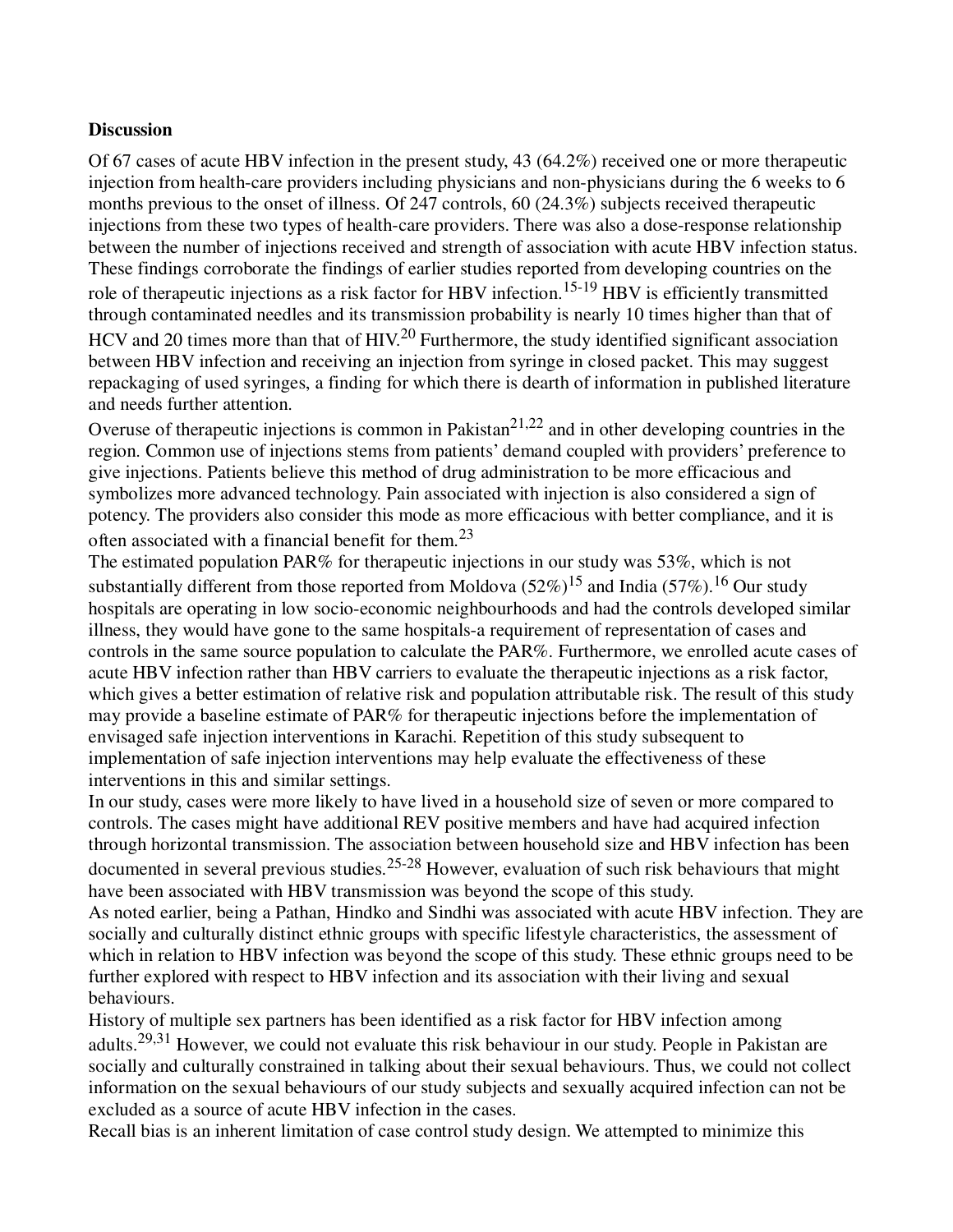#### **Discussion**

Of 67 cases of acute HBV infection in the present study, 43 (64.2%) received one or more therapeutic injection from health-care providers including physicians and non-physicians during the 6 weeks to 6 months previous to the onset of illness. Of 247 controls, 60 (24.3%) subjects received therapeutic injections from these two types of health-care providers. There was also a dose-response relationship between the number of injections received and strength of association with acute HBV infection status. These findings corroborate the findings of earlier studies reported from developing countries on the role of therapeutic injections as a risk factor for HBV infection.<sup>15-19</sup> HBV is efficiently transmitted through contaminated needles and its transmission probability is nearly 10 times higher than that of HCV and 20 times more than that of HIV.<sup>20</sup> Furthermore, the study identified significant association between HBV infection and receiving an injection from syringe in closed packet. This may suggest repackaging of used syringes, a finding for which there is dearth of information in published literature and needs further attention.

Overuse of therapeutic injections is common in Pakistan<sup>21,22</sup> and in other developing countries in the region. Common use of injections stems from patients' demand coupled with providers' preference to give injections. Patients believe this method of drug administration to be more efficacious and symbolizes more advanced technology. Pain associated with injection is also considered a sign of potency. The providers also consider this mode as more efficacious with better compliance, and it is often associated with a financial benefit for them.<sup>23</sup>

The estimated population PAR% for therapeutic injections in our study was 53%, which is not substantially different from those reported from Moldova  $(52\%)^{15}$  and India  $(57\%)^{16}$  Our study hospitals are operating in low socio-economic neighbourhoods and had the controls developed similar illness, they would have gone to the same hospitals-a requirement of representation of cases and controls in the same source population to calculate the PAR%. Furthermore, we enrolled acute cases of acute HBV infection rather than HBV carriers to evaluate the therapeutic injections as a risk factor, which gives a better estimation of relative risk and population attributable risk. The result of this study may provide a baseline estimate of PAR% for therapeutic injections before the implementation of envisaged safe injection interventions in Karachi. Repetition of this study subsequent to implementation of safe injection interventions may help evaluate the effectiveness of these interventions in this and similar settings.

In our study, cases were more likely to have lived in a household size of seven or more compared to controls. The cases might have additional REV positive members and have had acquired infection through horizontal transmission. The association between household size and HBV infection has been documented in several previous studies.<sup>25-28</sup> However, evaluation of such risk behaviours that might have been associated with HBV transmission was beyond the scope of this study.

As noted earlier, being a Pathan, Hindko and Sindhi was associated with acute HBV infection. They are socially and culturally distinct ethnic groups with specific lifestyle characteristics, the assessment of which in relation to HBV infection was beyond the scope of this study. These ethnic groups need to be further explored with respect to HBV infection and its association with their living and sexual behaviours.

History of multiple sex partners has been identified as a risk factor for HBV infection among adults.<sup>29,31</sup> However, we could not evaluate this risk behaviour in our study. People in Pakistan are socially and culturally constrained in talking about their sexual behaviours. Thus, we could not collect information on the sexual behaviours of our study subjects and sexually acquired infection can not be excluded as a source of acute HBV infection in the cases.

Recall bias is an inherent limitation of case control study design. We attempted to minimize this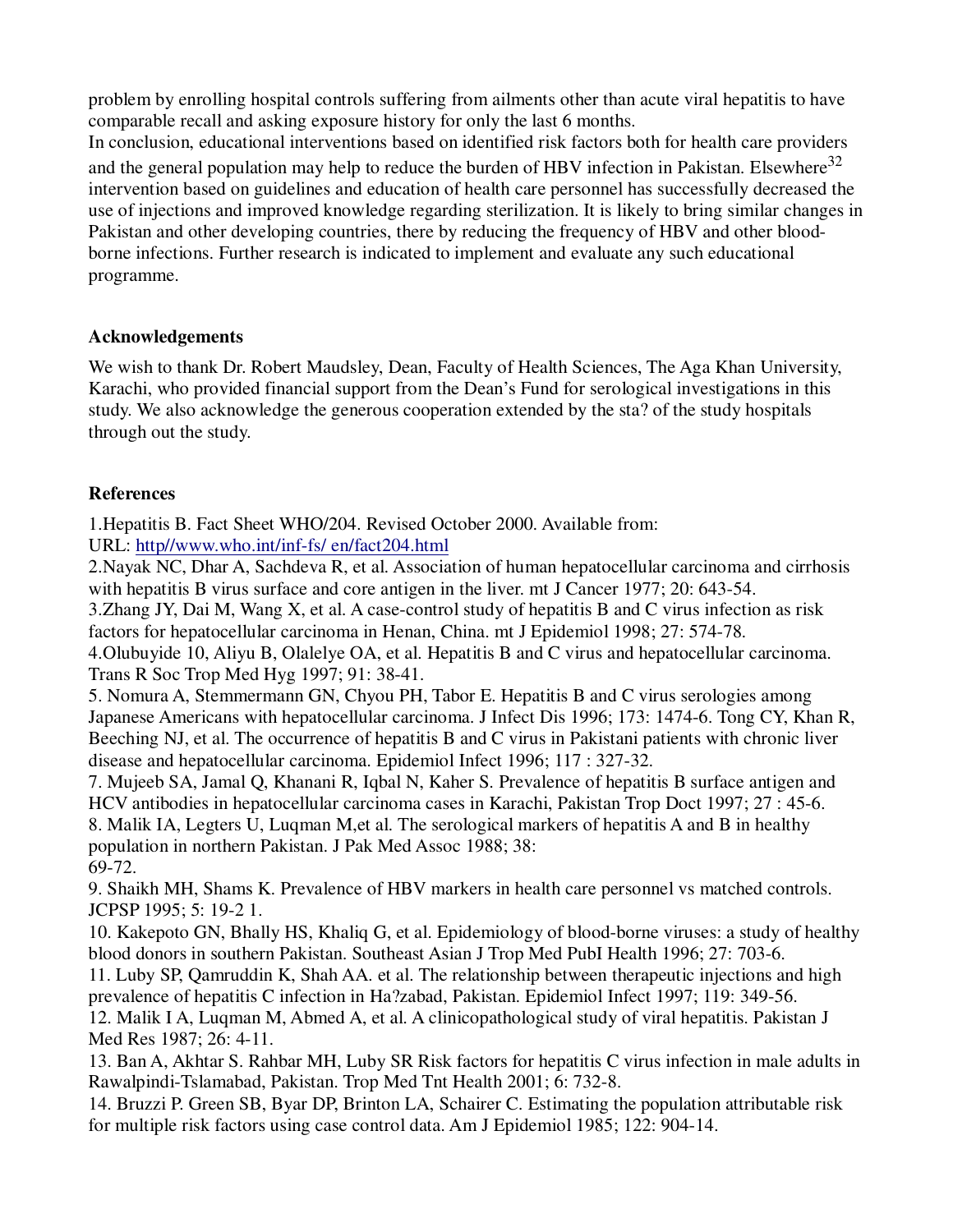problem by enrolling hospital controls suffering from ailments other than acute viral hepatitis to have comparable recall and asking exposure history for only the last 6 months.

In conclusion, educational interventions based on identified risk factors both for health care providers and the general population may help to reduce the burden of HBV infection in Pakistan. Elsewhere<sup>32</sup> intervention based on guidelines and education of health care personnel has successfully decreased the use of injections and improved knowledge regarding sterilization. It is likely to bring similar changes in Pakistan and other developing countries, there by reducing the frequency of HBV and other bloodborne infections. Further research is indicated to implement and evaluate any such educational programme.

## **Acknowledgements**

We wish to thank Dr. Robert Maudsley, Dean, Faculty of Health Sciences, The Aga Khan University, Karachi, who provided financial support from the Dean's Fund for serological investigations in this study. We also acknowledge the generous cooperation extended by the sta? of the study hospitals through out the study.

## **References**

1.Hepatitis B. Fact Sheet WHO/204. Revised October 2000. Available from:

URL: http//www.who.int/inf-fs/ en/fact204.html

2.Nayak NC, Dhar A, Sachdeva R, et al. Association of human hepatocellular carcinoma and cirrhosis with hepatitis B virus surface and core antigen in the liver. mt J Cancer 1977; 20: 643-54.

3.Zhang JY, Dai M, Wang X, et al. A case-control study of hepatitis B and C virus infection as risk factors for hepatocellular carcinoma in Henan, China. mt J Epidemiol 1998; 27: 574-78.

4.Olubuyide 10, Aliyu B, Olalelye OA, et al. Hepatitis B and C virus and hepatocellular carcinoma. Trans R Soc Trop Med Hyg 1997; 91: 38-41.

5. Nomura A, Stemmermann GN, Chyou PH, Tabor E. Hepatitis B and C virus serologies among Japanese Americans with hepatocellular carcinoma. J Infect Dis 1996; 173: 1474-6. Tong CY, Khan R, Beeching NJ, et al. The occurrence of hepatitis B and C virus in Pakistani patients with chronic liver disease and hepatocellular carcinoma. Epidemiol Infect 1996; 117 : 327-32.

7. Mujeeb SA, Jamal Q, Khanani R, Iqbal N, Kaher S. Prevalence of hepatitis B surface antigen and HCV antibodies in hepatocellular carcinoma cases in Karachi, Pakistan Trop Doct 1997; 27 : 45-6. 8. Malik IA, Legters U, Luqman M,et al. The serological markers of hepatitis A and B in healthy population in northern Pakistan. J Pak Med Assoc 1988; 38: 69-72.

9. Shaikh MH, Shams K. Prevalence of HBV markers in health care personnel vs matched controls. JCPSP 1995; 5: 19-2 1.

10. Kakepoto GN, Bhally HS, Khaliq G, et al. Epidemiology of blood-borne viruses: a study of healthy blood donors in southern Pakistan. Southeast Asian J Trop Med PubI Health 1996; 27: 703-6.

11. Luby SP, Qamruddin K, Shah AA. et al. The relationship between therapeutic injections and high prevalence of hepatitis C infection in Ha?zabad, Pakistan. Epidemiol Infect 1997; 119: 349-56.

12. Malik I A, Luqman M, Abmed A, et al. A clinicopathological study of viral hepatitis. Pakistan J Med Res 1987; 26: 4-11.

13. Ban A, Akhtar S. Rahbar MH, Luby SR Risk factors for hepatitis C virus infection in male adults in Rawalpindi-Tslamabad, Pakistan. Trop Med Tnt Health 2001; 6: 732-8.

14. Bruzzi P. Green SB, Byar DP, Brinton LA, Schairer C. Estimating the population attributable risk for multiple risk factors using case control data. Am J Epidemiol 1985; 122: 904-14.